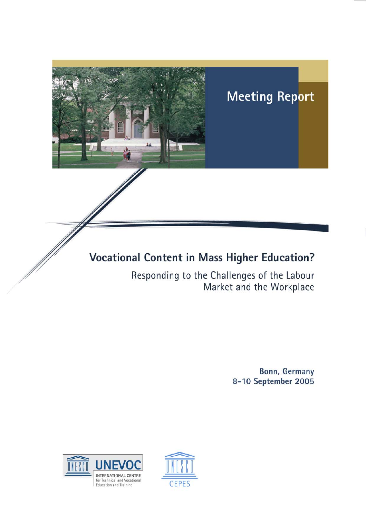

Market and the Workplace

Bonn, Germany 8-10 September 2005



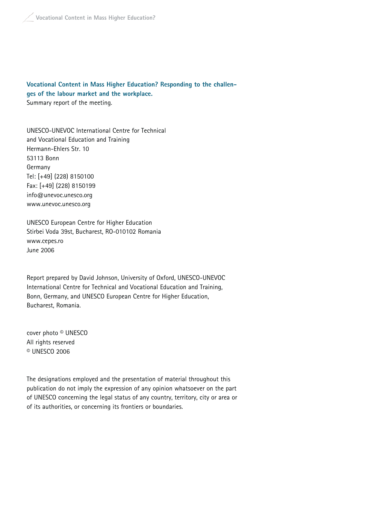#### **Vocational Content in Mass Higher Education? Responding to the challenges of the labour market and the workplace.** Summary report of the meeting.

UNESCO-UNEVOC International Centre for Technical and Vocational Education and Training Hermann-Ehlers Str. 10 53113 Bonn Germany Tel: [+49] (228) 8150100 Fax: [+49] (228) 8150199 info@unevoc.unesco.org www.unevoc.unesco.org

### UNESCO European Centre for Higher Education Stirbei Voda 39st, Bucharest, RO-010102 Romania www.cepes.ro June 2006

Report prepared by David Johnson, University of Oxford, UNESCO-UNEVOC International Centre for Technical and Vocational Education and Training, Bonn, Germany, and UNESCO European Centre for Higher Education, Bucharest, Romania.

cover photo © UNESCO All rights reserved © UNESCO 2006

The designations employed and the presentation of material throughout this publication do not imply the expression of any opinion whatsoever on the part of UNESCO concerning the legal status of any country, territory, city or area or of its authorities, or concerning its frontiers or boundaries.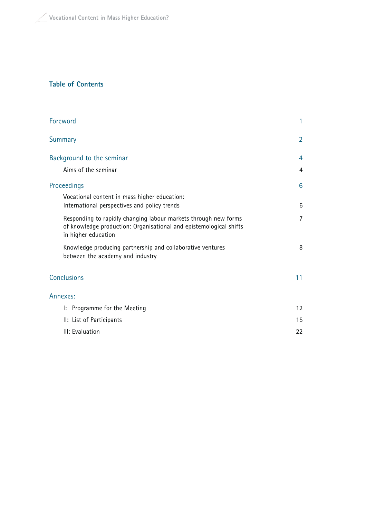#### **Table of Contents**

| Foreword                                                                                                                                                     | 1                 |
|--------------------------------------------------------------------------------------------------------------------------------------------------------------|-------------------|
| Summary                                                                                                                                                      | 2                 |
| Background to the seminar                                                                                                                                    | 4                 |
| Aims of the seminar                                                                                                                                          | 4                 |
| Proceedings                                                                                                                                                  | 6                 |
| Vocational content in mass higher education:                                                                                                                 |                   |
| International perspectives and policy trends                                                                                                                 | 6                 |
| Responding to rapidly changing labour markets through new forms<br>of knowledge production: Organisational and epistemological shifts<br>in higher education | $\overline{7}$    |
| Knowledge producing partnership and collaborative ventures<br>between the academy and industry                                                               | 8                 |
| <b>Conclusions</b>                                                                                                                                           | 11                |
| Annexes:                                                                                                                                                     |                   |
| I: Programme for the Meeting                                                                                                                                 | $12 \overline{ }$ |
| II: List of Participants                                                                                                                                     | 15                |
| III: Evaluation                                                                                                                                              | 22                |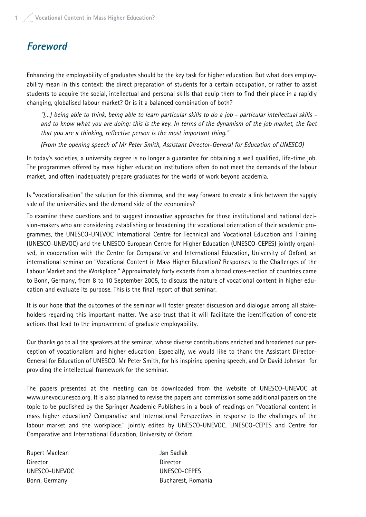## **Foreword**

Enhancing the employability of graduates should be the key task for higher education. But what does employability mean in this context: the direct preparation of students for a certain occupation, or rather to assist students to acquire the social, intellectual and personal skills that equip them to find their place in a rapidly changing, globalised labour market? Or is it a balanced combination of both?

"[…] being able to think, being able to learn particular skills to do a job - particular intellectual skills and to know what you are doing: this is the key. In terms of the dynamism of the job market, the fact that you are a thinking, reflective person is the most important thing."

(From the opening speech of Mr Peter Smith, Assistant Director-General for Education of UNESCO)

In today's societies, a university degree is no longer a guarantee for obtaining a well qualified, life-time job. The programmes offered by mass higher education institutions often do not meet the demands of the labour market, and often inadequately prepare graduates for the world of work beyond academia.

Is "vocationalisation" the solution for this dilemma, and the way forward to create a link between the supply side of the universities and the demand side of the economies?

To examine these questions and to suggest innovative approaches for those institutional and national decision-makers who are considering establishing or broadening the vocational orientation of their academic programmes, the UNESCO-UNEVOC International Centre for Technical and Vocational Education and Training (UNESCO-UNEVOC) and the UNESCO European Centre for Higher Education (UNESCO-CEPES) jointly organised, in cooperation with the Centre for Comparative and International Education, University of Oxford, an international seminar on "Vocational Content in Mass Higher Education? Responses to the Challenges of the Labour Market and the Workplace." Approximately forty experts from a broad cross-section of countries came to Bonn, Germany, from 8 to 10 September 2005, to discuss the nature of vocational content in higher education and evaluate its purpose. This is the final report of that seminar.

It is our hope that the outcomes of the seminar will foster greater discussion and dialogue among all stakeholders regarding this important matter. We also trust that it will facilitate the identification of concrete actions that lead to the improvement of graduate employability.

Our thanks go to all the speakers at the seminar, whose diverse contributions enriched and broadened our perception of vocationalism and higher education. Especially, we would like to thank the Assistant Director-General for Education of UNESCO, Mr Peter Smith, for his inspiring opening speech, and Dr David Johnson for providing the intellectual framework for the seminar.

The papers presented at the meeting can be downloaded from the website of UNESCO-UNEVOC at www.unevoc.unesco.org. It is also planned to revise the papers and commission some additional papers on the topic to be published by the Springer Academic Publishers in a book of readings on "Vocational content in mass higher education? Comparative and International Perspectives in response to the challenges of the labour market and the workplace." jointly edited by UNESCO-UNEVOC, UNESCO-CEPES and Centre for Comparative and International Education, University of Oxford.

Rupert Maclean and Jan Sadlak Director Director UNESCO-UNEVOC UNESCO-CEPES

Bonn, Germany Bucharest, Romania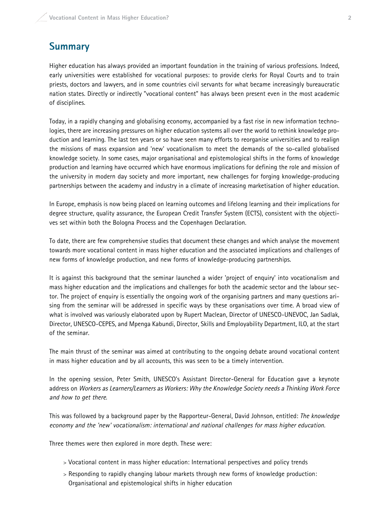# **Summary**

Higher education has always provided an important foundation in the training of various professions. Indeed, early universities were established for vocational purposes: to provide clerks for Royal Courts and to train priests, doctors and lawyers, and in some countries civil servants for what became increasingly bureaucratic nation states. Directly or indirectly "vocational content" has always been present even in the most academic of disciplines.

Today, in a rapidly changing and globalising economy, accompanied by a fast rise in new information technologies, there are increasing pressures on higher education systems all over the world to rethink knowledge production and learning. The last ten years or so have seen many efforts to reorganise universities and to realign the missions of mass expansion and 'new' vocationalism to meet the demands of the so-called globalised knowledge society. In some cases, major organisational and epistemological shifts in the forms of knowledge production and learning have occurred which have enormous implications for defining the role and mission of the university in modern day society and more important, new challenges for forging knowledge-producing partnerships between the academy and industry in a climate of increasing marketisation of higher education.

In Europe, emphasis is now being placed on learning outcomes and lifelong learning and their implications for degree structure, quality assurance, the European Credit Transfer System (ECTS), consistent with the objectives set within both the Bologna Process and the Copenhagen Declaration.

To date, there are few comprehensive studies that document these changes and which analyse the movement towards more vocational content in mass higher education and the associated implications and challenges of new forms of knowledge production, and new forms of knowledge-producing partnerships.

It is against this background that the seminar launched a wider 'project of enquiry' into vocationalism and mass higher education and the implications and challenges for both the academic sector and the labour sector. The project of enquiry is essentially the ongoing work of the organising partners and many questions arising from the seminar will be addressed in specific ways by these organisations over time. A broad view of what is involved was variously elaborated upon by Rupert Maclean, Director of UNESCO-UNEVOC, Jan Sadlak, Director, UNESCO-CEPES, and Mpenga Kabundi, Director, Skills and Employability Department, ILO, at the start of the seminar.

The main thrust of the seminar was aimed at contributing to the ongoing debate around vocational content in mass higher education and by all accounts, this was seen to be a timely intervention.

In the opening session, Peter Smith, UNESCO's Assistant Director-General for Education gave a keynote address on Workers as Learners/Learners as Workers: Why the Knowledge Society needs a Thinking Work Force and how to get there.

This was followed by a background paper by the Rapporteur-General, David Johnson, entitled: The knowledge economy and the 'new' vocationalism: international and national challenges for mass higher education.

Three themes were then explored in more depth. These were:

- > Vocational content in mass higher education: International perspectives and policy trends
- > Responding to rapidly changing labour markets through new forms of knowledge production: Organisational and epistemological shifts in higher education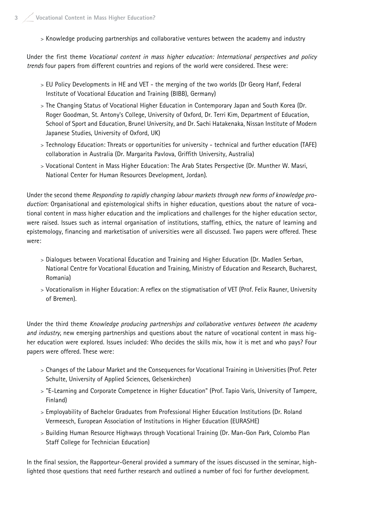> Knowledge producing partnerships and collaborative ventures between the academy and industry

Under the first theme Vocational content in mass higher education: International perspectives and policy trends four papers from different countries and regions of the world were considered. These were:

- > EU Policy Developments in HE and VET the merging of the two worlds (Dr Georg Hanf, Federal Institute of Vocational Education and Training (BIBB), Germany)
- > The Changing Status of Vocational Higher Education in Contemporary Japan and South Korea (Dr. Roger Goodman, St. Antony's College, University of Oxford, Dr. Terri Kim, Department of Education, School of Sport and Education, Brunel University, and Dr. Sachi Hatakenaka, Nissan Institute of Modern Japanese Studies, University of Oxford, UK)
- > Technology Education: Threats or opportunities for university technical and further education (TAFE) collaboration in Australia (Dr. Margarita Pavlova, Griffith University, Australia)
- > Vocational Content in Mass Higher Education: The Arab States Perspective (Dr. Munther W. Masri, National Center for Human Resources Development, Jordan).

Under the second theme Responding to rapidly changing labour markets through new forms of knowledge production: Organisational and epistemological shifts in higher education, questions about the nature of vocational content in mass higher education and the implications and challenges for the higher education sector, were raised. Issues such as internal organisation of institutions, staffing, ethics, the nature of learning and epistemology, financing and marketisation of universities were all discussed. Two papers were offered. These were:

- > Dialogues between Vocational Education and Training and Higher Education (Dr. Madlen Serban, National Centre for Vocational Education and Training, Ministry of Education and Research, Bucharest, Romania)
- > Vocationalism in Higher Education: A reflex on the stigmatisation of VET (Prof. Felix Rauner, University of Bremen).

Under the third theme Knowledge producing partnerships and collaborative ventures between the academy and industry, new emerging partnerships and questions about the nature of vocational content in mass higher education were explored. Issues included: Who decides the skills mix, how it is met and who pays? Four papers were offered. These were:

- > Changes of the Labour Market and the Consequences for Vocational Training in Universities (Prof. Peter Schulte, University of Applied Sciences, Gelsenkirchen)
- > "E-Learning and Corporate Competence in Higher Education" (Prof. Tapio Varis, University of Tampere, Finland)
- > Employability of Bachelor Graduates from Professional Higher Education Institutions (Dr. Roland Vermeesch, European Association of Institutions in Higher Education (EURASHE)
- > Building Human Resource Highways through Vocational Training (Dr. Man-Gon Park, Colombo Plan Staff College for Technician Education)

In the final session, the Rapporteur-General provided a summary of the issues discussed in the seminar, highlighted those questions that need further research and outlined a number of foci for further development.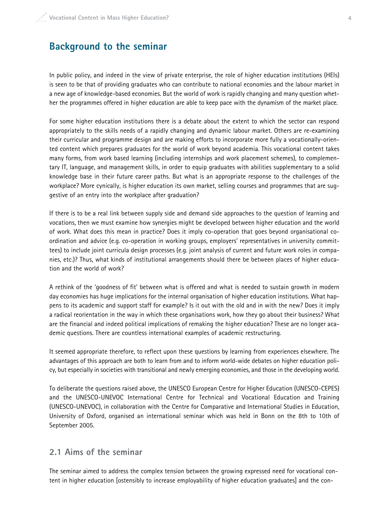## **Background to the seminar**

In public policy, and indeed in the view of private enterprise, the role of higher education institutions (HEIs) is seen to be that of providing graduates who can contribute to national economies and the labour market in a new age of knowledge-based economies. But the world of work is rapidly changing and many question whether the programmes offered in higher education are able to keep pace with the dynamism of the market place.

For some higher education institutions there is a debate about the extent to which the sector can respond appropriately to the skills needs of a rapidly changing and dynamic labour market. Others are re-examining their curricular and programme design and are making efforts to incorporate more fully a vocationally-oriented content which prepares graduates for the world of work beyond academia. This vocational content takes many forms, from work based learning (including internships and work placement schemes), to complementary IT, language, and management skills, in order to equip graduates with abilities supplementary to a solid knowledge base in their future career paths. But what is an appropriate response to the challenges of the workplace? More cynically, is higher education its own market, selling courses and programmes that are suggestive of an entry into the workplace after graduation?

If there is to be a real link between supply side and demand side approaches to the question of learning and vocations, then we must examine how synergies might be developed between higher education and the world of work. What does this mean in practice? Does it imply co-operation that goes beyond organisational coordination and advice (e.g. co-operation in working groups, employers' representatives in university committees) to include joint curricula design processes (e.g. joint analysis of current and future work roles in companies, etc.)? Thus, what kinds of institutional arrangements should there be between places of higher education and the world of work?

A rethink of the 'goodness of fit' between what is offered and what is needed to sustain growth in modern day economies has huge implications for the internal organisation of higher education institutions. What happens to its academic and support staff for example? Is it out with the old and in with the new? Does it imply a radical reorientation in the way in which these organisations work, how they go about their business? What are the financial and indeed political implications of remaking the higher education? These are no longer academic questions. There are countless international examples of academic restructuring.

It seemed appropriate therefore, to reflect upon these questions by learning from experiences elsewhere. The advantages of this approach are both to learn from and to inform world-wide debates on higher education policy, but especially in societies with transitional and newly emerging economies, and those in the developing world.

To deliberate the questions raised above, the UNESCO European Centre for Higher Education (UNESCO-CEPES) and the UNESCO-UNEVOC International Centre for Technical and Vocational Education and Training (UNESCO-UNEVOC), in collaboration with the Centre for Comparative and International Studies in Education, University of Oxford, organised an international seminar which was held in Bonn on the 8th to 10th of September 2005.

### **2.1 Aims of the seminar**

The seminar aimed to address the complex tension between the growing expressed need for vocational content in higher education [ostensibly to increase employability of higher education graduates] and the con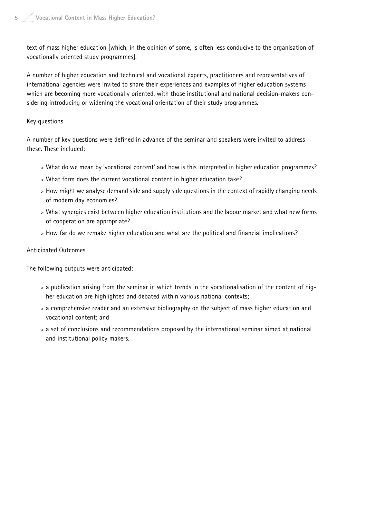text of mass higher education [which, in the opinion of some, is often less conducive to the organisation of vocationally oriented study programmes].

A number of higher education and technical and vocational experts, practitioners and representatives of international agencies were invited to share their experiences and examples of higher education systems which are becoming more vocationally oriented, with those institutional and national decision-makers considering introducing or widening the vocational orientation of their study programmes.

#### Key questions

A number of key questions were defined in advance of the seminar and speakers were invited to address these. These included:

- > What do we mean by 'vocational content' and how is this interpreted in higher education programmes?
- > What form does the current vocational content in higher education take?
- > How might we analyse demand side and supply side questions in the context of rapidly changing needs of modern day economies?
- > What synergies exist between higher education institutions and the labour market and what new forms of cooperation are appropriate?
- > How far do we remake higher education and what are the political and financial implications?

#### Anticipated Outcomes

The following outputs were anticipated:

- > a publication arising from the seminar in which trends in the vocationalisation of the content of higher education are highlighted and debated within various national contexts;
- > a comprehensive reader and an extensive bibliography on the subject of mass higher education and vocational content; and
- > a set of conclusions and recommendations proposed by the international seminar aimed at national and institutional policy makers.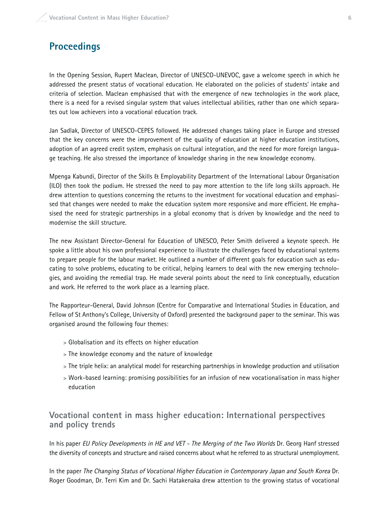## **Proceedings**

In the Opening Session, Rupert Maclean, Director of UNESCO-UNEVOC, gave a welcome speech in which he addressed the present status of vocational education. He elaborated on the policies of students' intake and criteria of selection. Maclean emphasised that with the emergence of new technologies in the work place, there is a need for a revised singular system that values intellectual abilities, rather than one which separates out low achievers into a vocational education track.

Jan Sadlak, Director of UNESCO-CEPES followed. He addressed changes taking place in Europe and stressed that the key concerns were the improvement of the quality of education at higher education institutions, adoption of an agreed credit system, emphasis on cultural integration, and the need for more foreign language teaching. He also stressed the importance of knowledge sharing in the new knowledge economy.

Mpenga Kabundi, Director of the Skills & Employability Department of the International Labour Organisation (ILO) then took the podium. He stressed the need to pay more attention to the life long skills approach. He drew attention to questions concerning the returns to the investment for vocational education and emphasised that changes were needed to make the education system more responsive and more efficient. He emphasised the need for strategic partnerships in a global economy that is driven by knowledge and the need to modernise the skill structure.

The new Assistant Director-General for Education of UNESCO, Peter Smith delivered a keynote speech. He spoke a little about his own professional experience to illustrate the challenges faced by educational systems to prepare people for the labour market. He outlined a number of different goals for education such as educating to solve problems, educating to be critical, helping learners to deal with the new emerging technologies, and avoiding the remedial trap. He made several points about the need to link conceptually, education and work. He referred to the work place as a learning place.

The Rapporteur-General, David Johnson (Centre for Comparative and International Studies in Education, and Fellow of St Anthony's College, University of Oxford) presented the background paper to the seminar. This was organised around the following four themes:

- > Globalisation and its effects on higher education
- > The knowledge economy and the nature of knowledge
- > The triple helix: an analytical model for researching partnerships in knowledge production and utilisation
- > Work-based learning: promising possibilities for an infusion of new vocationalisation in mass higher education

## **Vocational content in mass higher education: International perspectives and policy trends**

In his paper EU Policy Developments in HE and VET - The Merging of the Two Worlds Dr. Georg Hanf stressed the diversity of concepts and structure and raised concerns about what he referred to as structural unemployment.

In the paper The Changing Status of Vocational Higher Education in Contemporary Japan and South Korea Dr. Roger Goodman, Dr. Terri Kim and Dr. Sachi Hatakenaka drew attention to the growing status of vocational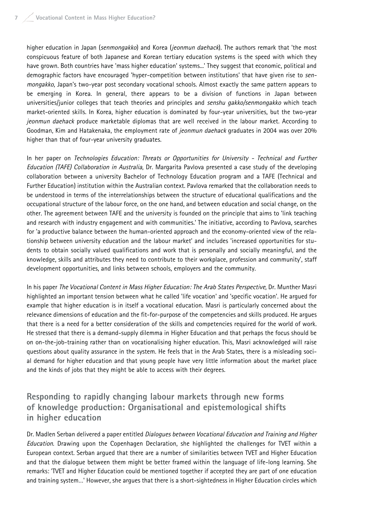higher education in Japan (senmongakko) and Korea (jeonmun daehack). The authors remark that 'the most conspicuous feature of both Japanese and Korean tertiary education systems is the speed with which they have grown. Both countries have 'mass higher education' systems...' They suggest that economic, political and demographic factors have encouraged 'hyper-competition between institutions' that have given rise to senmongakko, Japan's two-year post secondary vocational schools. Almost exactly the same pattern appears to be emerging in Korea. In general, there appears to be a division of functions in Japan between universities/junior colleges that teach theories and principles and senshu gakko/senmongakko which teach market-oriented skills. In Korea, higher education is dominated by four-year universities, but the two-year jeonmun daehack produce marketable diplomas that are well received in the labour market. According to Goodman, Kim and Hatakenaka, the employment rate of jeonmun daehack graduates in 2004 was over 20% higher than that of four-year university graduates.

In her paper on Technologies Education: Threats or Opportunities for University - Technical and Further Education (TAFE) Collaboration in Australia, Dr. Margarita Pavlova presented a case study of the developing collaboration between a university Bachelor of Technology Education program and a TAFE (Technical and Further Education) institution within the Australian context. Pavlova remarked that the collaboration needs to be understood in terms of the interrelationships between the structure of educational qualifications and the occupational structure of the labour force, on the one hand, and between education and social change, on the other. The agreement between TAFE and the university is founded on the principle that aims to 'link teaching and research with industry engagement and with communities.' The initiative, according to Pavlova, searches for 'a productive balance between the human-oriented approach and the economy-oriented view of the relationship between university education and the labour market' and includes 'increased opportunities for students to obtain socially valued qualifications and work that is personally and socially meaningful, and the knowledge, skills and attributes they need to contribute to their workplace, profession and community', staff development opportunities, and links between schools, employers and the community.

In his paper The Vocational Content in Mass Higher Education: The Arab States Perspective, Dr. Munther Masri highlighted an important tension between what he called 'life vocation' and 'specific vocation'. He argued for example that higher education is in itself a vocational education. Masri is particularly concerned about the relevance dimensions of education and the fit-for-purpose of the competencies and skills produced. He argues that there is a need for a better consideration of the skills and competencies required for the world of work. He stressed that there is a demand-supply dilemma in Higher Education and that perhaps the focus should be on on-the-job-training rather than on vocationalising higher education. This, Masri acknowledged will raise questions about quality assurance in the system. He feels that in the Arab States, there is a misleading social demand for higher education and that young people have very little information about the market place and the kinds of jobs that they might be able to access with their degrees.

## **Responding to rapidly changing labour markets through new forms of knowledge production: Organisational and epistemological shifts in higher education**

Dr. Madlen Serban delivered a paper entitled *Dialogues between Vocational Education and Training and Higher* Education. Drawing upon the Copenhagen Declaration, she highlighted the challenges for TVET within a European context. Serban argued that there are a number of similarities between TVET and Higher Education and that the dialogue between them might be better framed within the language of life-long learning. She remarks: 'TVET and Higher Education could be mentioned together if accepted they are part of one education and training system…' However, she argues that there is a short-sightedness in Higher Education circles which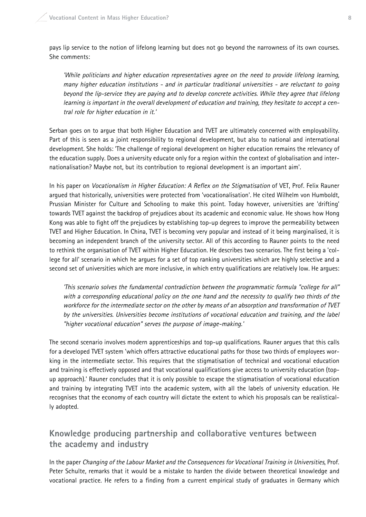pays lip service to the notion of lifelong learning but does not go beyond the narrowness of its own courses. She comments:

'While politicians and higher education representatives agree on the need to provide lifelong learning, many higher education institutions - and in particular traditional universities - are reluctant to going beyond the lip-service they are paying and to develop concrete activities. While they agree that lifelong learning is important in the overall development of education and training, they hesitate to accept a central role for higher education in it.'

Serban goes on to argue that both Higher Education and TVET are ultimately concerned with employability. Part of this is seen as a joint responsibility to regional development, but also to national and international development. She holds: 'The challenge of regional development on higher education remains the relevancy of the education supply. Does a university educate only for a region within the context of globalisation and internationalisation? Maybe not, but its contribution to regional development is an important aim'.

In his paper on Vocationalism in Higher Education: A Reflex on the Stigmatisation of VET, Prof. Felix Rauner argued that historically, universities were protected from 'vocationalisation'. He cited Wilhelm von Humboldt, Prussian Minister for Culture and Schooling to make this point. Today however, universities are 'drifting' towards TVET against the backdrop of prejudices about its academic and economic value. He shows how Hong Kong was able to fight off the prejudices by establishing top-up degrees to improve the permeability between TVET and Higher Education. In China, TVET is becoming very popular and instead of it being marginalised, it is becoming an independent branch of the university sector. All of this according to Rauner points to the need to rethink the organisation of TVET within Higher Education. He describes two scenarios. The first being a 'college for all' scenario in which he argues for a set of top ranking universities which are highly selective and a second set of universities which are more inclusive, in which entry qualifications are relatively low. He argues:

'This scenario solves the fundamental contradiction between the programmatic formula "college for all" with a corresponding educational policy on the one hand and the necessity to qualify two thirds of the workforce for the intermediate sector on the other by means of an absorption and transformation of TVET by the universities. Universities become institutions of vocational education and training, and the label "higher vocational education" serves the purpose of image-making.'

The second scenario involves modern apprenticeships and top-up qualifications. Rauner argues that this calls for a developed TVET system 'which offers attractive educational paths for those two thirds of employees working in the intermediate sector. This requires that the stigmatisation of technical and vocational education and training is effectively opposed and that vocational qualifications give access to university education (topup approach).' Rauner concludes that it is only possible to escape the stigmatisation of vocational education and training by integrating TVET into the academic system, with all the labels of university education. He recognises that the economy of each country will dictate the extent to which his proposals can be realistically adopted.

## **Knowledge producing partnership and collaborative ventures between the academy and industry**

In the paper Changing of the Labour Market and the Consequences for Vocational Training in Universities, Prof. Peter Schulte, remarks that it would be a mistake to harden the divide between theoretical knowledge and vocational practice. He refers to a finding from a current empirical study of graduates in Germany which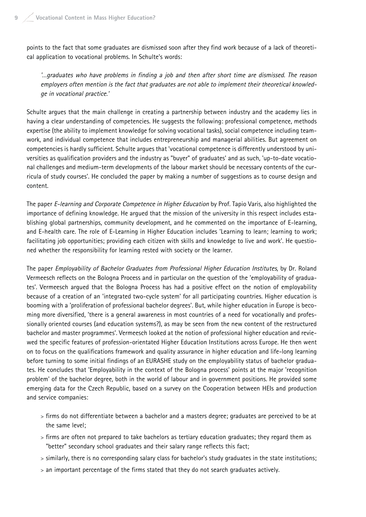points to the fact that some graduates are dismissed soon after they find work because of a lack of theoretical application to vocational problems. In Schulte's words:

'…graduates who have problems in finding a job and then after short time are dismissed. The reason employers often mention is the fact that graduates are not able to implement their theoretical knowledge in vocational practice.'

Schulte argues that the main challenge in creating a partnership between industry and the academy lies in having a clear understanding of competencies. He suggests the following: professional competence, methods expertise (the ability to implement knowledge for solving vocational tasks), social competence including teamwork, and individual competence that includes entrepreneurship and managerial abilities. But agreement on competencies is hardly sufficient. Schulte argues that 'vocational competence is differently understood by universities as qualification providers and the industry as "buyer" of graduates' and as such, 'up-to-date vocational challenges and medium-term developments of the labour market should be necessary contents of the curricula of study courses'. He concluded the paper by making a number of suggestions as to course design and content.

The paper E-learning and Corporate Competence in Higher Education by Prof. Tapio Varis, also highlighted the importance of defining knowledge. He argued that the mission of the university in this respect includes establishing global partnerships, community development, and he commented on the importance of E-learning, and E-health care. The role of E-Learning in Higher Education includes 'Learning to learn; learning to work; facilitating job opportunities; providing each citizen with skills and knowledge to live and work'. He questioned whether the responsibility for learning rested with society or the learner.

The paper Employability of Bachelor Graduates from Professional Higher Education Institutes, by Dr. Roland Vermeesch reflects on the Bologna Process and in particular on the question of the 'employability of graduates'. Vermeesch argued that the Bologna Process has had a positive effect on the notion of employability because of a creation of an 'integrated two-cycle system' for all participating countries. Higher education is booming with a 'proliferation of professional bachelor degrees'. But, while higher education in Europe is becoming more diversified, 'there is a general awareness in most countries of a need for vocationally and professionally oriented courses (and education systems?), as may be seen from the new content of the restructured bachelor and master programmes'. Vermeesch looked at the notion of professional higher education and reviewed the specific features of profession-orientated Higher Education Institutions across Europe. He then went on to focus on the qualifications framework and quality assurance in higher education and life-long learning before turning to some initial findings of an EURASHE study on the employability status of bachelor graduates. He concludes that 'Employability in the context of the Bologna process' points at the major 'recognition problem' of the bachelor degree, both in the world of labour and in government positions. He provided some emerging data for the Czech Republic, based on a survey on the Cooperation between HEIs and production and service companies:

- > firms do not differentiate between a bachelor and a masters degree; graduates are perceived to be at the same level;
- > firms are often not prepared to take bachelors as tertiary education graduates; they regard them as "better" secondary school graduates and their salary range reflects this fact;
- > similarly, there is no corresponding salary class for bachelor's study graduates in the state institutions;
- > an important percentage of the firms stated that they do not search graduates actively.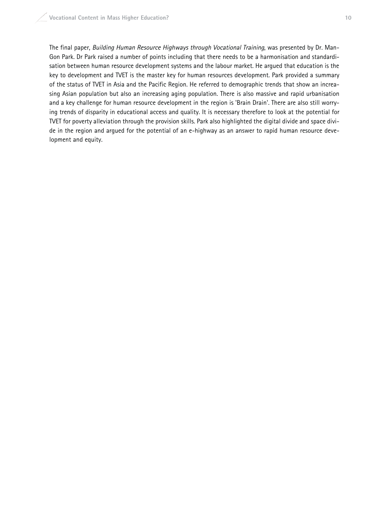The final paper, Building Human Resource Highways through Vocational Training, was presented by Dr. Man-Gon Park. Dr Park raised a number of points including that there needs to be a harmonisation and standardisation between human resource development systems and the labour market. He argued that education is the key to development and TVET is the master key for human resources development. Park provided a summary of the status of TVET in Asia and the Pacific Region. He referred to demographic trends that show an increasing Asian population but also an increasing aging population. There is also massive and rapid urbanisation and a key challenge for human resource development in the region is 'Brain Drain'. There are also still worrying trends of disparity in educational access and quality. It is necessary therefore to look at the potential for TVET for poverty alleviation through the provision skills. Park also highlighted the digital divide and space divide in the region and argued for the potential of an e-highway as an answer to rapid human resource development and equity.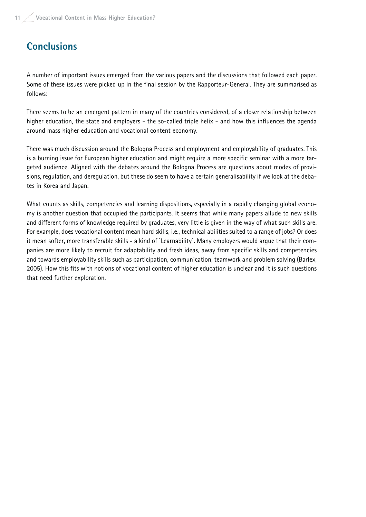# **Conclusions**

A number of important issues emerged from the various papers and the discussions that followed each paper. Some of these issues were picked up in the final session by the Rapporteur-General. They are summarised as follows:

There seems to be an emergent pattern in many of the countries considered, of a closer relationship between higher education, the state and employers - the so-called triple helix - and how this influences the agenda around mass higher education and vocational content economy.

There was much discussion around the Bologna Process and employment and employability of graduates. This is a burning issue for European higher education and might require a more specific seminar with a more targeted audience. Aligned with the debates around the Bologna Process are questions about modes of provisions, regulation, and deregulation, but these do seem to have a certain generalisability if we look at the debates in Korea and Japan.

What counts as skills, competencies and learning dispositions, especially in a rapidly changing global economy is another question that occupied the participants. It seems that while many papers allude to new skills and different forms of knowledge required by graduates, very little is given in the way of what such skills are. For example, does vocational content mean hard skills, i.e., technical abilities suited to a range of jobs? Or does it mean softer, more transferable skills - a kind of `Learnability`. Many employers would argue that their companies are more likely to recruit for adaptability and fresh ideas, away from specific skills and competencies and towards employability skills such as participation, communication, teamwork and problem solving (Barlex, 2005). How this fits with notions of vocational content of higher education is unclear and it is such questions that need further exploration.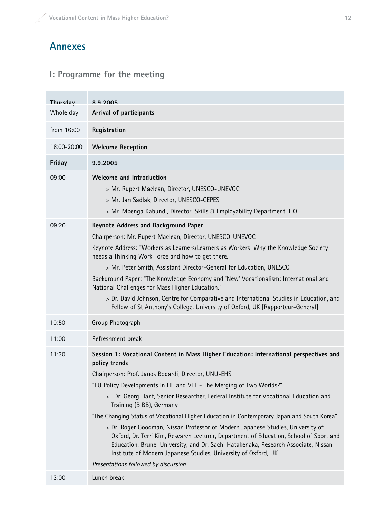# **Annexes**

# **I: Programme for the meeting**

| Thursday    | 892005                                                                                                                                                                                                                                                                                                                                                                                                                                                                                                                                                                                                                                                                                                                                                                                                                                |
|-------------|---------------------------------------------------------------------------------------------------------------------------------------------------------------------------------------------------------------------------------------------------------------------------------------------------------------------------------------------------------------------------------------------------------------------------------------------------------------------------------------------------------------------------------------------------------------------------------------------------------------------------------------------------------------------------------------------------------------------------------------------------------------------------------------------------------------------------------------|
| Whole day   | Arrival of participants                                                                                                                                                                                                                                                                                                                                                                                                                                                                                                                                                                                                                                                                                                                                                                                                               |
| from 16:00  | Registration                                                                                                                                                                                                                                                                                                                                                                                                                                                                                                                                                                                                                                                                                                                                                                                                                          |
| 18:00-20:00 | <b>Welcome Reception</b>                                                                                                                                                                                                                                                                                                                                                                                                                                                                                                                                                                                                                                                                                                                                                                                                              |
| Friday      | 9.9.2005                                                                                                                                                                                                                                                                                                                                                                                                                                                                                                                                                                                                                                                                                                                                                                                                                              |
| 09:00       | <b>Welcome and Introduction</b><br>> Mr. Rupert Maclean, Director, UNESCO-UNEVOC<br>> Mr. Jan Sadlak, Director, UNESCO-CEPES<br>> Mr. Mpenga Kabundi, Director, Skills & Employability Department, ILO                                                                                                                                                                                                                                                                                                                                                                                                                                                                                                                                                                                                                                |
| 09:20       | <b>Keynote Address and Background Paper</b><br>Chairperson: Mr. Rupert Maclean, Director, UNESCO-UNEVOC<br>Keynote Address: "Workers as Learners/Learners as Workers: Why the Knowledge Society<br>needs a Thinking Work Force and how to get there."<br>> Mr. Peter Smith, Assistant Director-General for Education, UNESCO<br>Background Paper: "The Knowledge Economy and 'New' Vocationalism: International and<br>National Challenges for Mass Higher Education."<br>> Dr. David Johnson, Centre for Comparative and International Studies in Education, and<br>Fellow of St Anthony's College, University of Oxford, UK [Rapporteur-General]                                                                                                                                                                                    |
| 10:50       | Group Photograph                                                                                                                                                                                                                                                                                                                                                                                                                                                                                                                                                                                                                                                                                                                                                                                                                      |
| 11:00       | Refreshment break                                                                                                                                                                                                                                                                                                                                                                                                                                                                                                                                                                                                                                                                                                                                                                                                                     |
| 11:30       | Session 1: Vocational Content in Mass Higher Education: International perspectives and<br>policy trends<br>Chairperson: Prof. Janos Bogardi, Director, UNU-EHS<br>"EU Policy Developments in HE and VET - The Merging of Two Worlds?"<br>> "Dr. Georg Hanf, Senior Researcher, Federal Institute for Vocational Education and<br>Training (BIBB), Germany<br>"The Changing Status of Vocational Higher Education in Contemporary Japan and South Korea"<br>> Dr. Roger Goodman, Nissan Professor of Modern Japanese Studies, University of<br>Oxford, Dr. Terri Kim, Research Lecturer, Department of Education, School of Sport and<br>Education, Brunel University, and Dr. Sachi Hatakenaka, Research Associate, Nissan<br>Institute of Modern Japanese Studies, University of Oxford, UK<br>Presentations followed by discussion. |
| 13:00       | Lunch break                                                                                                                                                                                                                                                                                                                                                                                                                                                                                                                                                                                                                                                                                                                                                                                                                           |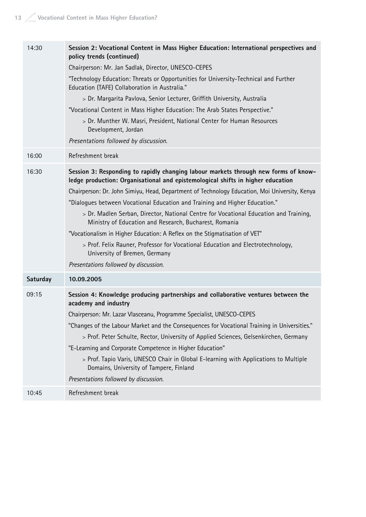| 14:30    | Session 2: Vocational Content in Mass Higher Education: International perspectives and<br>policy trends (continued)<br>Chairperson: Mr. Jan Sadlak, Director, UNESCO-CEPES<br>"Technology Education: Threats or Opportunities for University-Technical and Further<br>Education (TAFE) Collaboration in Australia."<br>> Dr. Margarita Pavlova, Senior Lecturer, Griffith University, Australia<br>"Vocational Content in Mass Higher Education: The Arab States Perspective."<br>> Dr. Munther W. Masri, President, National Center for Human Resources<br>Development, Jordan<br>Presentations followed by discussion.                                                                                                                             |
|----------|------------------------------------------------------------------------------------------------------------------------------------------------------------------------------------------------------------------------------------------------------------------------------------------------------------------------------------------------------------------------------------------------------------------------------------------------------------------------------------------------------------------------------------------------------------------------------------------------------------------------------------------------------------------------------------------------------------------------------------------------------|
| 16:00    | Refreshment break                                                                                                                                                                                                                                                                                                                                                                                                                                                                                                                                                                                                                                                                                                                                    |
| 16:30    | Session 3: Responding to rapidly changing labour markets through new forms of know-<br>ledge production: Organisational and epistemological shifts in higher education<br>Chairperson: Dr. John Simiyu, Head, Department of Technology Education, Moi University, Kenya<br>"Dialogues between Vocational Education and Training and Higher Education."<br>> Dr. Madlen Serban, Director, National Centre for Vocational Education and Training,<br>Ministry of Education and Research, Bucharest, Romania<br>"Vocationalism in Higher Education: A Reflex on the Stigmatisation of VET"<br>> Prof. Felix Rauner, Professor for Vocational Education and Electrotechnology,<br>University of Bremen, Germany<br>Presentations followed by discussion. |
| Saturday | 10.09.2005                                                                                                                                                                                                                                                                                                                                                                                                                                                                                                                                                                                                                                                                                                                                           |
| 09:15    | Session 4: Knowledge producing partnerships and collaborative ventures between the<br>academy and industry<br>Chairperson: Mr. Lazar Vlasceanu, Programme Specialist, UNESCO-CEPES<br>"Changes of the Labour Market and the Consequences for Vocational Training in Universities."<br>> Prof. Peter Schulte, Rector, University of Applied Sciences, Gelsenkirchen, Germany<br>"E-Learning and Corporate Competence in Higher Education"<br>> Prof. Tapio Varis, UNESCO Chair in Global E-learning with Applications to Multiple<br>Domains, University of Tampere, Finland<br>Presentations followed by discussion.                                                                                                                                 |
| 10:45    | Refreshment break                                                                                                                                                                                                                                                                                                                                                                                                                                                                                                                                                                                                                                                                                                                                    |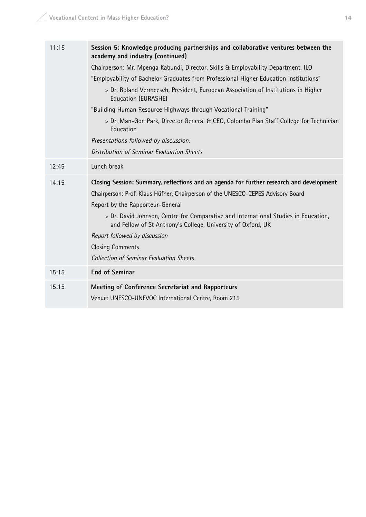| 11:15 | Session 5: Knowledge producing partnerships and collaborative ventures between the<br>academy and industry (continued)                                                                                                                                                                                                                                                                                                                                                               |  |  |  |  |  |
|-------|--------------------------------------------------------------------------------------------------------------------------------------------------------------------------------------------------------------------------------------------------------------------------------------------------------------------------------------------------------------------------------------------------------------------------------------------------------------------------------------|--|--|--|--|--|
|       | Chairperson: Mr. Mpenga Kabundi, Director, Skills & Employability Department, ILO                                                                                                                                                                                                                                                                                                                                                                                                    |  |  |  |  |  |
|       | "Employability of Bachelor Graduates from Professional Higher Education Institutions"                                                                                                                                                                                                                                                                                                                                                                                                |  |  |  |  |  |
|       | > Dr. Roland Vermeesch, President, European Association of Institutions in Higher<br>Education (EURASHE)                                                                                                                                                                                                                                                                                                                                                                             |  |  |  |  |  |
|       | "Building Human Resource Highways through Vocational Training"                                                                                                                                                                                                                                                                                                                                                                                                                       |  |  |  |  |  |
|       | > Dr. Man-Gon Park, Director General & CEO, Colombo Plan Staff College for Technician<br>Education                                                                                                                                                                                                                                                                                                                                                                                   |  |  |  |  |  |
|       | Presentations followed by discussion.                                                                                                                                                                                                                                                                                                                                                                                                                                                |  |  |  |  |  |
|       | Distribution of Seminar Evaluation Sheets                                                                                                                                                                                                                                                                                                                                                                                                                                            |  |  |  |  |  |
| 12:45 | Lunch break                                                                                                                                                                                                                                                                                                                                                                                                                                                                          |  |  |  |  |  |
|       |                                                                                                                                                                                                                                                                                                                                                                                                                                                                                      |  |  |  |  |  |
| 14:15 | Closing Session: Summary, reflections and an agenda for further research and development<br>Chairperson: Prof. Klaus Hüfner, Chairperson of the UNESCO-CEPES Advisory Board<br>Report by the Rapporteur-General<br>> Dr. David Johnson, Centre for Comparative and International Studies in Education,<br>and Fellow of St Anthony's College, University of Oxford, UK<br>Report followed by discussion<br><b>Closing Comments</b><br><b>Collection of Seminar Evaluation Sheets</b> |  |  |  |  |  |
| 15:15 | <b>End of Seminar</b>                                                                                                                                                                                                                                                                                                                                                                                                                                                                |  |  |  |  |  |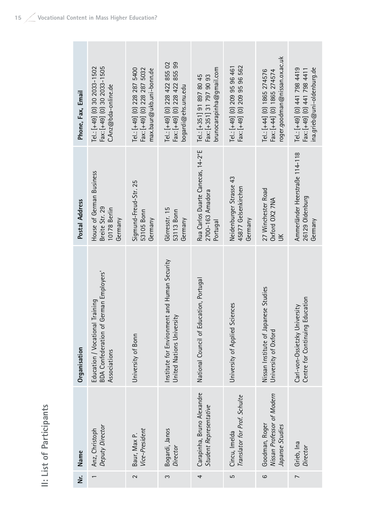| ူ                        |
|--------------------------|
| ĺ                        |
| 5                        |
| Q                        |
| ٠                        |
|                          |
| $=$                      |
|                          |
|                          |
|                          |
| ᡴᠦ                       |
| ó.,                      |
|                          |
|                          |
| $\overline{\phantom{0}}$ |
| 0                        |
|                          |
|                          |
|                          |
| $\overline{5}$           |
| .,                       |
|                          |
|                          |
|                          |
| ٠                        |
|                          |
| ٠                        |

| ن<br>N         | Name                                                            | Organisation                                                                              | Postal Address                                                        | Phone, Fax, Email                                                                          |
|----------------|-----------------------------------------------------------------|-------------------------------------------------------------------------------------------|-----------------------------------------------------------------------|--------------------------------------------------------------------------------------------|
|                | Deputy Director<br>Anz, Christoph                               | BDA Confederation of German Employers'<br>Education / Vocational Training<br>Associations | House of German Business<br>Breite Str. 29<br>10178 Berlin<br>Germany | Fax: [+49] (0) 30 2033-1505<br>Tel.: [+49] (0) 30 2033-1502<br>C.Anz@bda-online.de         |
| 2              | Vice-President<br>Baur, Max P.                                  | University of Bonn                                                                        | Sigmund-Freud-Str. 25<br>53105 Bonn<br>Germany                        | Tel.: [+49] (0) 228 287 5400<br>Fax: [+49] (0) 228 287 5032<br>max.baur@ukb.uni-bonn.de    |
| 3              | Bogardi, Janos<br>Director                                      | and Human Security<br>Institute for Environment<br>United Nations University              | Görresstr. 15<br>53113 Bonn<br>Germany                                | Tel.: [+49] (0) 228 422 855 02<br>Fax: [+49] (0) 228 422 855 99<br>bogardi@ehs.unu.edu     |
| 4              | Carapinha, Bruno Alexandre<br>Student Representative            | National Council of Education, Portugal                                                   | Rua Carlos Duarte Canecas, 14-2°E<br>2700-163 Amadora<br>Portugal     | brunocarapinha $@$ gmail.com<br>Tel.: [+351] 91 897 80 45<br>Fax: [+351] 31 797 90 93      |
| 5              | Translator for Prof. Schulte<br>Cincu, Imelda                   | University of Applied Sciences                                                            | Neidenburger Strasse 43<br>45877 Gelsenkirchen<br>Germany             | Fax: [+49] (0) 209 95 96 562<br>Tel.: [+49] (0) 209 95 96 461                              |
| ဖ              | Nissan Professor of Modern<br>Goodman, Roger<br>Japanse Studies | Nissan Institute of Japanese Studies<br>University of Oxford                              | 27 Winchester Road<br>Oxford OX2 7NA                                  | roger.goodman@nissan.ox.ac.uk<br>Tel.: [+44] (0) 1865 274576<br>Fax: [+44] (0) 1865 274574 |
| $\overline{ }$ | Grieb, Ina<br>Director                                          | Centre for Continuing Education<br>Carl-von-Ossietzky University                          | Ammerländer Heerstraße 114-118<br>26129 Oldenburg<br>Germany          | ina.grieb@uni-oldenburg.de<br>Tel.: [+49] (0) 441 798 4419<br>Fax: [+49] (0) 441 798 4411  |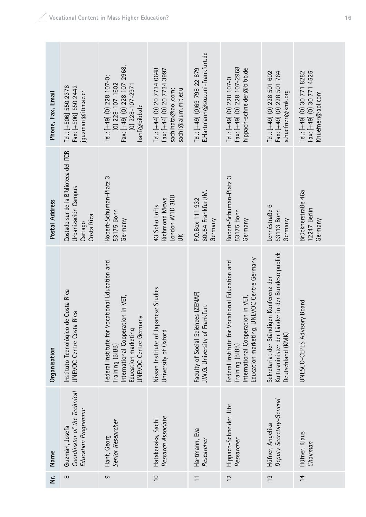| Name<br>Σŕ.       | Coordinator of the Technical<br>Education Programme<br>Guzmán, Josefa<br>$\infty$     | Senior Researcher<br>Hanf, Georg<br>တ                                                                                                                     | Research Associate<br>Hatakenaka, Sachi<br>$\overline{0}$                                              | Hartmann, Eva<br>Researcher                                          | Hippach-Schneider, Ute<br>Researcher<br>12                                                                                                           | Deputy Secretary-General<br>Hüfner, Angelika<br>$\frac{3}{2}$                                                          | Hüfner, Klaus<br>Chairman<br>$\overline{4}$                                   |
|-------------------|---------------------------------------------------------------------------------------|-----------------------------------------------------------------------------------------------------------------------------------------------------------|--------------------------------------------------------------------------------------------------------|----------------------------------------------------------------------|------------------------------------------------------------------------------------------------------------------------------------------------------|------------------------------------------------------------------------------------------------------------------------|-------------------------------------------------------------------------------|
| Organisation      | Instituto Tecnológico de Costa Rica<br><b>UNEVOC Centre Costa Rica</b>                | Federal Institute for Vocational Education and<br>in VET,<br>International Cooperation<br>UNEVOC Centre Germany<br>Education marketing<br>Training (BIBB) | Nissan Institute of Japanese Studies<br>University of Oxford                                           | Faculty of Social Sciences (ZENAF)<br>J.W.G. University of Frankfurt | Education marketing, UNEVOC Centre Germany<br>Federal Institute for Vocational Education and<br>International Cooperation in VET,<br>Training (BIBB) | in der Bundesrepublick<br>Konferenz der<br>Kultusminister der Länder<br>Sekretariat der Ständigen<br>Deutschland (KMK) | Board<br>UNESCO-CEPES Advisory                                                |
| Postal Address    | Costado sur de la Biblioteca del ITCR<br>Urbanización Campus<br>Costa Rica<br>Cartago | Robert-Schuman-Platz 3<br>53175 Bonn<br>Germany                                                                                                           | London W1D 3DD<br>Richmond Mews<br>43 Soho Lofts<br>$\leq$                                             | 60054 Frankfurt/M.<br>P.O.Box 111 932<br>Germany                     | Robert-Schuman-Platz 3<br>53175 Bonn<br>Germany                                                                                                      | Lennéstraße 6<br>53113 Bonn<br>Germany                                                                                 | Brücknerstraße 46a<br>12247 Berlin<br>Germany                                 |
| Phone, Fax, Email | Tel.: [+506] 550 2376<br>Fax: [+506] 550 2442<br>jguzman@itcr.ac.cr                   | Fax: [+49] (0) 228 107-2968,<br>Tel.: [+49] (0) 228 107-0;<br>$(0)$ 228-107-1602<br>$(0)$ 228-107-2971<br>hanf@bibb.de                                    | Tel: [+44] (0) 20 7734 0648<br>Fax: [+44] (0) 20 7734 3997<br>sachihata@aol.com;<br>sachi@alum.mit.edu | E. Hartmann@soz.uni-frankfurt.de<br>Tel.: [+49] (0)69 798 22 879     | Fax: [+49] (0) 228 107-2968<br>hippach-schneider@bibb.de<br>Tel.: $[+49]$ (0) 228 107-0                                                              | Fax: [+49] (0) 228 501 764<br>Tel.: [+49] (0) 228 501 602<br>a.huefner@kmk.org                                         | Tel.: [+49] (0) 30 771 8282<br>Fax: [+49] (0) 30 771 4525<br>Khuefner@aol.com |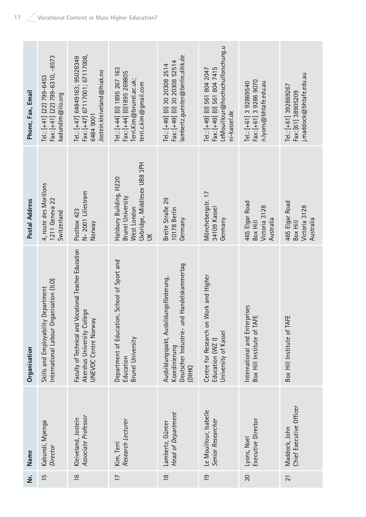| Phone, Fax, Email | Fax: [+41] (22) 799-6310, -8573<br>Tel: [+41] (22) 799-6453<br>kadundim@ilo.org     | Fax: [+47] 67117001; 67117008,<br>Tel.: [+47] 64849163; 95028349<br>Jostein.kleiveland@hiak.no<br>6484 9001  | Tel.: [+44] (0) 1895 267 163<br>Fax: [+44] (0) 1895 269805<br>Terri.Kim@brunel.ac.uk;<br>terri.c.kim@gmail.com | ambertz.guenter@berlin.dihk.de<br>Fax: [+49] (0) 30 20308 52514<br>Tel.: [+49] (0) 30 20308 2514                  | LeMouillour@hochschulforschung.u<br>Fax: [+49] (0) 561 804 7415<br>Tel.: [+49] (0) 561 804 2047<br>ni-kassel.de | Fax: [+61] 3 9286 9070<br>n.lyons@bhtafe.edu.au<br>Tel.: [+61] 3 92869540 | j.maddock@bhtafe.edu.au<br>Tel.: [+61] 392869267<br>Fax: [61] 38905209 |
|-------------------|-------------------------------------------------------------------------------------|--------------------------------------------------------------------------------------------------------------|----------------------------------------------------------------------------------------------------------------|-------------------------------------------------------------------------------------------------------------------|-----------------------------------------------------------------------------------------------------------------|---------------------------------------------------------------------------|------------------------------------------------------------------------|
| Postal Address    | 4, route des Morillons<br>1211 Geneva 22<br>Switzerland                             | Halsbury Building, H220<br>N-2001 Lillestrøm<br>Postbox 423<br>Veway                                         |                                                                                                                | Breite Straße 29<br>10178 Berlin<br>Germany                                                                       | Mönchebergstr. 17<br>34109 Kassel<br>Germany                                                                    | 465 Elgar Road<br>Victoria 3128<br>Australia<br>Box Hill                  | 465 Elgar Road<br>Victoria 3128<br>Australia<br>Box Hill               |
| Organisation      | International Labour Organisation (ILO)<br>Jepartment<br>Skills and Employability I | Faculty of Technical and Vocational Teacher Education<br>Akershus University College<br>UNEVOC Centre Norway | School of Sport and<br>Department of Education<br>Brunel University<br>Education                               | Handelskammertag<br>Ausbildungspakt, Ausbildungsförderung,<br>Deutscher Industrie- und<br>Koordinierung<br>(DIHK) | Centre for Research on Work and Higher<br>University of Kassel<br>Education (WZ I)                              | International and Enterprises<br>Box Hill Institute of TAFE               | Box Hill Institute of TAFE                                             |
| Name              | Kabundi, Mpenga<br>Director                                                         | Associate Professor<br>Kleiveland, Jostein                                                                   | Research Lecturer<br>Kim, Terri                                                                                | Head of Department<br>Lambertz, Günter                                                                            | Le Mouillour, Isabelle<br>Senior Researcher                                                                     | Executive Director<br>Lyons, Noel                                         | Chief Executive Officer<br>Maddock, John                               |
| .<br>خ            | $\frac{5}{1}$                                                                       | $\frac{6}{1}$                                                                                                | $\overline{1}$                                                                                                 | $\frac{8}{1}$                                                                                                     | $\overline{0}$                                                                                                  | 20                                                                        | $\overline{21}$                                                        |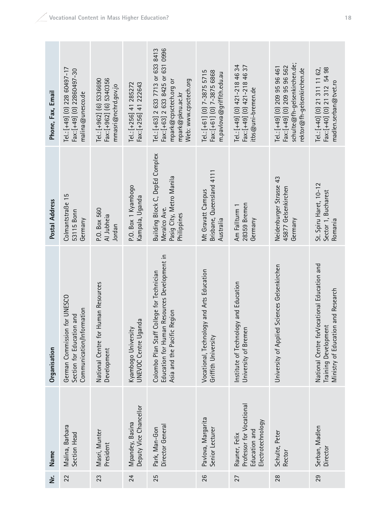| Phone, Fax, Email | Tel.: [+49] (0) 228 60497-17<br>Fax: [+49] (0) 22860497-30<br>malina@unesco.de                   | Fax: [+962] (6) 5340356<br>Tel.: [+962] (6) 5336690<br>mmasri@nchrd.gov.jo | Fax: [+256] 41 222643<br>Tel.: [+256] 41 285272 | Fax: [+63] 2 633 8425 or 631 0996<br>Tel.: [+63] 2 633 7713 or 633 8413<br>Web: www.cpsctech.org<br>mpark@cpsctech.org or<br>mpark@pknu.ac.kr | Tel: $[-61]$ (0) 7-3875 5715<br>Fax: [+61] (0) 7-3875 6868<br>m.pavlova@griffith.edu.au | Tel.: $[+49]$ (0) $421 - 2184$ 34<br>Fax: [+49] (0) 421-218 46 37<br>itbs@uni-bremen.de | schulte $@$ fh-gelsenkirchen.de;<br>Fax: [+49] (0) 209 95 96 562<br>Tel.: [+49] (0) 209 95 96 461<br>rektor@fh-gelsenkirchen.de | Fax: [+40] (0) 21 312 54 98<br>Tel.: [+40] (0) 21 311 11 62,<br>madlen.serban@tvet.ro                     |
|-------------------|--------------------------------------------------------------------------------------------------|----------------------------------------------------------------------------|-------------------------------------------------|-----------------------------------------------------------------------------------------------------------------------------------------------|-----------------------------------------------------------------------------------------|-----------------------------------------------------------------------------------------|---------------------------------------------------------------------------------------------------------------------------------|-----------------------------------------------------------------------------------------------------------|
| Postal Address    | Colmantstraße 15<br>53115 Bonn<br>Germany                                                        | P.O. Box 560<br>Al Jubheia<br>Jordan                                       | P.O. Box 1 Kyambogo<br>Kampala, Uganda          | Building Block C, DepEd Complex<br>Pasig City, Metro Manila<br>Meralco Ave.<br>Philippines                                                    | Brisbane, Queensland 4111<br>Mt Gravatt Campus<br>Australia                             | 28359 Bremen<br>Am Fallturm 1<br>Germany                                                | Neidenburger Strasse 43<br>45877 Gelsenkirchen<br>Germany                                                                       | St. Spiru Haret, 10-12<br>Sector 1, Bucharest<br>Romania                                                  |
| Organisation      | <b>UNESCO</b><br>Communication/Information<br>Section for Education and<br>German Commission for | National Centre for Human Resources<br>Development                         | UNEVOC Centre Uganda<br>Kyambogo University     | Education for Human Resources Development in<br>Colombo Plan Staff College for Technician<br>Asia and the Pacific Region                      | nd Arts Education<br>Vocational, Technology a<br>Griffith University                    | Institute of Technology and Education<br>University of Bremen                           | University of Applied Sciences Gelsenkirchen                                                                                    | National Centre forVocational Education and<br>Ministry of Education and Research<br>Training Development |
| Name              | Malina, Barbara<br>Section Head                                                                  | Masri, Munter<br>President                                                 | Deputy Vice Chancellor<br>Mpandey, Basina       | Director General<br>Park, Man-Gon                                                                                                             | Pavlova, Margarita<br>Senior Lecturer                                                   | Professor for Vocational<br>Electrotechnology<br>Education and<br>Rauner, Felix         | Schulte, Peter<br>Rector                                                                                                        | Serban, Madlen<br>Director                                                                                |
| ż                 | 22                                                                                               | 23                                                                         | 24                                              | 25                                                                                                                                            | 26                                                                                      | 27                                                                                      | 28                                                                                                                              | 29                                                                                                        |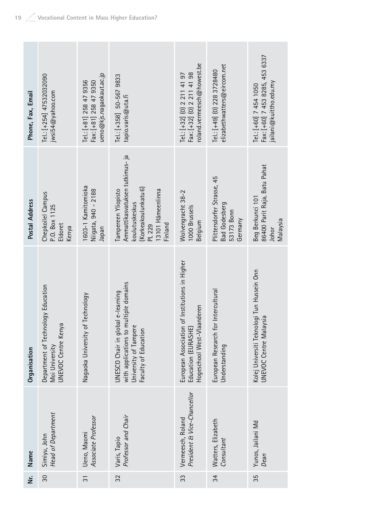| Phone, Fax, Email | Tel.: [+254] 47532032090<br>jwsi54@yahoo.com                                | ueno@kjs.nagaokaut.ac.jp<br>Tel.: [+81] 258 47 9356<br>Fax: [+81] 258 47 9350 | Tel.: [+358] 50-567 9833<br>tapio.varis@uta.fi                                                                                             | roland.vermeesch@howest.be<br>Tel.: [+32] (0) 2 211 41 97<br>Fax: [+32] (0) 2 211 41 98                | elizabethwatters@eircom.net<br>Tel: [+49] (0) 228 3728480                   | Fax: [+60] 7 453 8285, 453 6337<br>jailani@kuittho.edu.my<br>Tel.: [+60] 7 454 1050 |
|-------------------|-----------------------------------------------------------------------------|-------------------------------------------------------------------------------|--------------------------------------------------------------------------------------------------------------------------------------------|--------------------------------------------------------------------------------------------------------|-----------------------------------------------------------------------------|-------------------------------------------------------------------------------------|
| Postal Address    | Chepkoilel Campus<br>P.O. Box 1125<br>Eldoret<br>Kenya                      | 1603-1 Kamitomioka<br>Niigata, 940 - 2188<br>neder                            | Ammattikasvatuksen tutkimus- ja<br>(Korkeakoulunkatu 6)<br>13101 Hämeenlinna<br>Tampereen Yliopisto<br>koulutuskeskus<br>Finland<br>PL 229 | Wolvengracht 38-2<br>1000 Brussels<br>Belgium                                                          | Plittersdorfer Strasse, 45<br><b>Bad Godesberg</b><br>53173 Bonn<br>Germany | 86400 Parit Raja, Batu Pahat<br>Beg Berkunci 101<br>Malaysia<br>Johor               |
| Organisation      | Department of Technology Education<br>UNEVOC Centre Kenya<br>Moi University | Nagaoka University of Technology                                              | with applications to multiple domains<br>UNESCO Chair in global e-learning<br>University of Tampere<br>Faculty of Education                | Institutions in Higher<br>Hogeschool West-Vlaanderen<br>European Association of<br>Education (EURASHE) | European Research for Intercultural<br>Understanding                        | Tun Hussein Onn<br>Kolej Universiti Teknologi<br><b>UNEVOC Centre Malaysia</b>      |
| Name              | Head of Department<br>Simiyu, John                                          | Associate Professor<br>Ueno, Maomi                                            | Professor and Chair<br>Varis, Tapio                                                                                                        | President & Vice-Chancellor<br>Vermeesch, Roland                                                       | Watters, Elizabeth<br>Consultant                                            | Yunos, Jailani Md<br>Dean                                                           |
| ż                 | $\infty$                                                                    | $\overline{3}$                                                                | 32                                                                                                                                         | 33                                                                                                     | 34                                                                          | 35                                                                                  |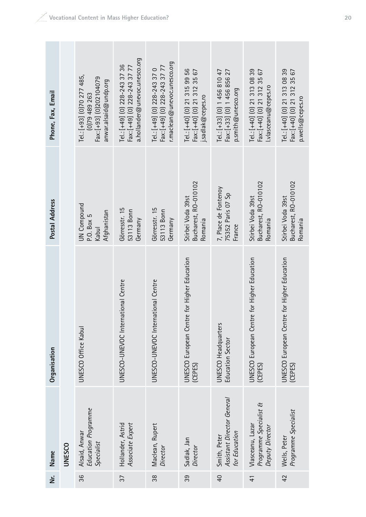|                   | Organisation | <b>UNESCO Office Kabul</b>                                                                    | UNESCO-UNEVOC International Centre                                                            | UNESCO-UNEVOC International Centre                                                            | (CEPES)                                                                          | <b>UNESCO Headquarters</b><br><b>Education Sector</b>                            | <b>UNESCO European Centre</b><br>(CEPES)                                            | <b>UNESCO European Centre</b><br>(CEPES)                    |
|-------------------|--------------|-----------------------------------------------------------------------------------------------|-----------------------------------------------------------------------------------------------|-----------------------------------------------------------------------------------------------|----------------------------------------------------------------------------------|----------------------------------------------------------------------------------|-------------------------------------------------------------------------------------|-------------------------------------------------------------|
|                   |              |                                                                                               |                                                                                               |                                                                                               | <b>UNESCO European Centre for Higher Education</b>                               |                                                                                  | for Higher Education                                                                | for Higher Education                                        |
| Postal Address    |              | UN Compound<br>Afghanistan<br>P.O. Box 5<br>Kabul                                             | Görresstr. 15<br>53113 Bonn<br>Germany                                                        | Görresstr. 15<br>53113 Bonn<br>Germany                                                        | Bucharest, RO-010102<br>Stirbei Voda 39st<br>Romania                             | 7, Place de Fontenoy<br>75352 Paris 07 Sp<br>France                              | Bucharest, RO-010102<br>Stirbei Voda 39st<br>Romania                                | Bucharest, RO-010102<br>Stirbei Voda 39st                   |
| Phone, Fax, Email |              | Tel.: [+93] (0)70 277 485,<br>Fax: [+93] (0)202104079<br>anwar.alsaid@undp.org<br>(0)79489263 | a.hollander@unevoc.unesco.org<br>Tel: [+49] (0) 228-243 37 36<br>Fax: [+49] (0) 228-243 37 77 | r.maclean@unevoc.unesco.org<br>Fax: [+49] (0) 228-243 37 77<br>Tel.: $[+49]$ (0) 228-243 37 0 | Tel:: [+40] (0) 21 315 99 56<br>Fax: [+40] (0) 21 312 35 67<br>j.sadlak@cepes.ro | Tel: [+33] (0) 1 456 810 47<br>Fax: [+33] (0) 1 456 856 27<br>p.smith@unesco.org | Tel.: [+40] (0) 21 313 08 39<br>Fax: [+40] (0) 21 312 35 67<br>I.vlasceanu@cepes.ro | Tel.: [+40] (0) 21 313 08 39<br>Fax: [+40] (0) 21 312 35 67 |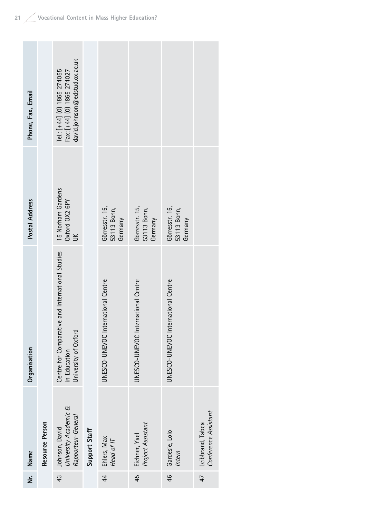| Phone, Fax, Email |                 | david.johnson@edstud.ox.ac.uk<br>Tel.: [+44] (0) 1865 274055<br>Fax: [+44] (0) 1865 274027 |               |                                          |                                          |                                          |                                          |
|-------------------|-----------------|--------------------------------------------------------------------------------------------|---------------|------------------------------------------|------------------------------------------|------------------------------------------|------------------------------------------|
| Postal Address    |                 | 15 Norham Gardens<br>Oxford OX2 6PY<br>$\leq$                                              |               | Görresstr. 15,<br>53113 Bonn,<br>Germany | Görresstr. 15,<br>53113 Bonn,<br>Germany | Görresstr. 15,<br>53113 Bonn,<br>Germany |                                          |
| Organisation      |                 | Centre for Comparative and International Studies<br>University of Oxford<br>in Education   |               | UNESCO-UNEVOC International Centre       | UNESCO-UNEVOC International Centre       | UNESCO-UNEVOC International Centre       |                                          |
| Name              | Resource Person | University Academic &<br>Rapporteur-General<br>Johnson, David                              | Support Staff | Ehlers, Max<br>Head of IT                | Project Assistant<br>Eichner, Yael       | Gardesie, Lolo<br>Intern                 | Conference Assistant<br>Leibbrand, Tabea |
| ن<br>N            |                 | 43                                                                                         |               | $\overline{4}$                           | 45                                       | $\frac{4}{6}$                            | 47                                       |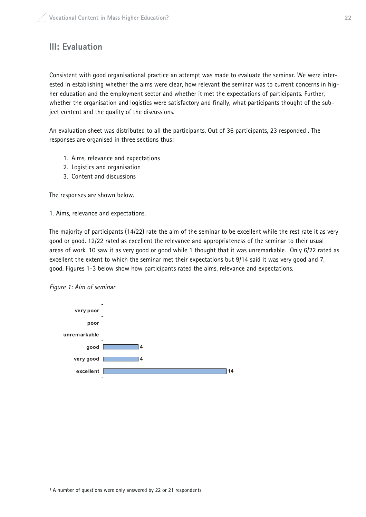## **III: Evaluation**

Consistent with good organisational practice an attempt was made to evaluate the seminar. We were interested in establishing whether the aims were clear, how relevant the seminar was to current concerns in higher education and the employment sector and whether it met the expectations of participants. Further, whether the organisation and logistics were satisfactory and finally, what participants thought of the subject content and the quality of the discussions.

An evaluation sheet was distributed to all the participants. Out of 36 participants, 23 responded . The responses are organised in three sections thus:

- 1. Aims, relevance and expectations
- 2. Logistics and organisation
- 3. Content and discussions

The responses are shown below.

1. Aims, relevance and expectations.

The majority of participants (14/22) rate the aim of the seminar to be excellent while the rest rate it as very good or good. 12/22 rated as excellent the relevance and appropriateness of the seminar to their usual areas of work. 10 saw it as very good or good while 1 thought that it was unremarkable. Only 6/22 rated as excellent the extent to which the seminar met their expectations but 9/14 said it was very good and 7, good. Figures 1-3 below show how participants rated the aims, relevance and expectations.



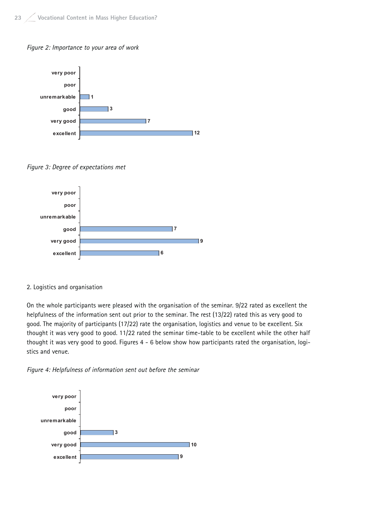



Figure 3: Degree of expectations met



#### 2. Logistics and organisation

On the whole participants were pleased with the organisation of the seminar. 9/22 rated as excellent the helpfulness of the information sent out prior to the seminar. The rest (13/22) rated this as very good to good. The majority of participants (17/22) rate the organisation, logistics and venue to be excellent. Six thought it was very good to good. 11/22 rated the seminar time-table to be excellent while the other half thought it was very good to good. Figures 4 - 6 below show how participants rated the organisation, logistics and venue.

Figure 4: Helpfulness of information sent out before the seminar

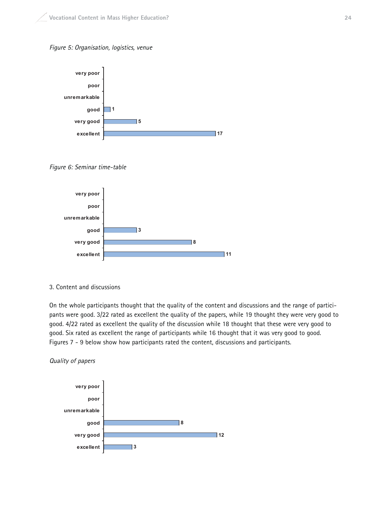



Figure 6: Seminar time-table



3. Content and discussions

On the whole participants thought that the quality of the content and discussions and the range of participants were good. 3/22 rated as excellent the quality of the papers, while 19 thought they were very good to good. 4/22 rated as excellent the quality of the discussion while 18 thought that these were very good to good. Six rated as excellent the range of participants while 16 thought that it was very good to good. Figures 7 - 9 below show how participants rated the content, discussions and participants.



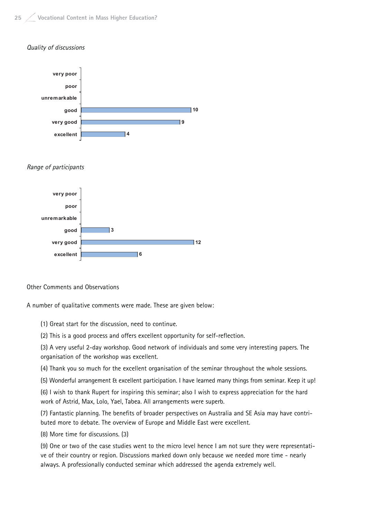#### Quality of discussions



Other Comments and Observations

A number of qualitative comments were made. These are given below:

(1) Great start for the discussion, need to continue.

(2) This is a good process and offers excellent opportunity for self-reflection.

(3) A very useful 2-day workshop. Good network of individuals and some very interesting papers. The organisation of the workshop was excellent.

(4) Thank you so much for the excellent organisation of the seminar throughout the whole sessions.

(5) Wonderful arrangement & excellent participation. I have learned many things from seminar. Keep it up!

(6) I wish to thank Rupert for inspiring this seminar; also I wish to express appreciation for the hard work of Astrid, Max, Lolo, Yael, Tabea. All arrangements were superb.

(7) Fantastic planning. The benefits of broader perspectives on Australia and SE Asia may have contributed more to debate. The overview of Europe and Middle East were excellent.

(8) More time for discussions. (3)

(9) One or two of the case studies went to the micro level hence I am not sure they were representative of their country or region. Discussions marked down only because we needed more time - nearly always. A professionally conducted seminar which addressed the agenda extremely well.